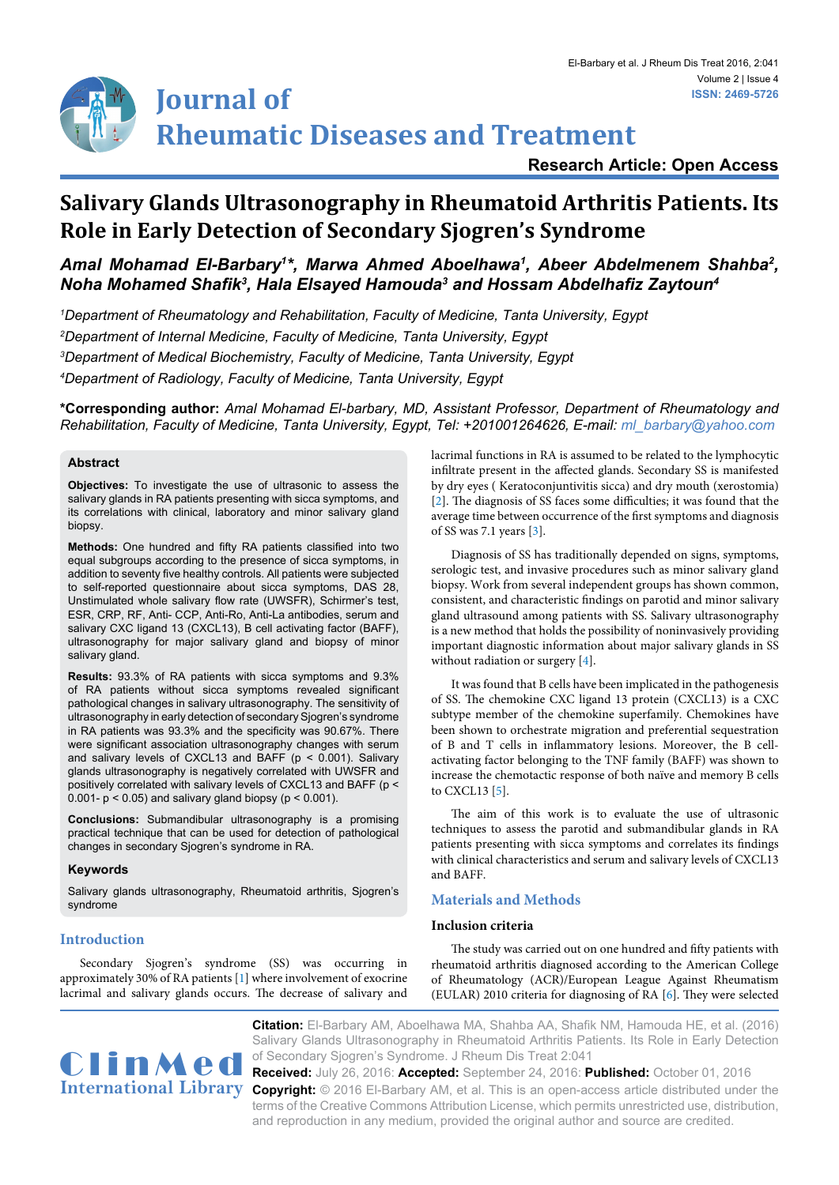## **Research Article: Open Access**

# **Salivary Glands Ultrasonography in Rheumatoid Arthritis Patients. Its Role in Early Detection of Secondary Sjogren's Syndrome**

## Amal Mohamad El-Barbary<sup>1\*</sup>, Marwa Ahmed Aboelhawa<sup>1</sup>, Abeer Abdelmenem Shahba<sup>2</sup>, *Noha Mohamed Shafik<sup>3</sup> , Hala Elsayed Hamouda3 and Hossam Abdelhafiz Zaytoun<sup>4</sup>*

 *Department of Rheumatology and Rehabilitation, Faculty of Medicine, Tanta University, Egypt Department of Internal Medicine, Faculty of Medicine, Tanta University, Egypt Department of Medical Biochemistry, Faculty of Medicine, Tanta University, Egypt Department of Radiology, Faculty of Medicine, Tanta University, Egypt*

**\*Corresponding author:** *Amal Mohamad El-barbary, MD, Assistant Professor, Department of Rheumatology and Rehabilitation, Faculty of Medicine, Tanta University, Egypt, Tel: +201001264626, E-mail: ml\_barbary@yahoo.com*

## **Abstract**

**Objectives:** To investigate the use of ultrasonic to assess the salivary glands in RA patients presenting with sicca symptoms, and its correlations with clinical, laboratory and minor salivary gland biopsy.

**Methods:** One hundred and fifty RA patients classified into two equal subgroups according to the presence of sicca symptoms, in addition to seventy five healthy controls. All patients were subjected to self-reported questionnaire about sicca symptoms, DAS 28, Unstimulated whole salivary flow rate (UWSFR), Schirmer's test, ESR, CRP, RF, Anti- CCP, Anti-Ro, Anti-La antibodies, serum and salivary CXC ligand 13 (CXCL13), B cell activating factor (BAFF), ultrasonography for major salivary gland and biopsy of minor salivary gland.

**Results:** 93.3% of RA patients with sicca symptoms and 9.3% of RA patients without sicca symptoms revealed significant pathological changes in salivary ultrasonography. The sensitivity of ultrasonography in early detection of secondary Sjogren's syndrome in RA patients was 93.3% and the specificity was 90.67%. There were significant association ultrasonography changes with serum and salivary levels of CXCL13 and BAFF ( $p < 0.001$ ). Salivary glands ultrasonography is negatively correlated with UWSFR and positively correlated with salivary levels of CXCL13 and BAFF (p < 0.001-  $p < 0.05$ ) and salivary gland biopsy ( $p < 0.001$ ).

**Conclusions:** Submandibular ultrasonography is a promising practical technique that can be used for detection of pathological changes in secondary Sjogren's syndrome in RA.

## **Keywords**

Salivary glands ultrasonography, Rheumatoid arthritis, Sjogren's syndrome

## **Introduction**

Secondary Sjogren's syndrome (SS) was occurring in approximately 30% of RA patients [[1\]](#page-4-5) where involvement of exocrine lacrimal and salivary glands occurs. The decrease of salivary and lacrimal functions in RA is assumed to be related to the lymphocytic infiltrate present in the affected glands. Secondary SS is manifested by dry eyes ( Keratoconjuntivitis sicca) and dry mouth (xerostomia) [\[2\]](#page-4-0). The diagnosis of SS faces some difficulties; it was found that the average time between occurrence of the first symptoms and diagnosis of SS was 7.1 years [[3](#page-4-1)].

Diagnosis of SS has traditionally depended on signs, symptoms, serologic test, and invasive procedures such as minor salivary gland biopsy. Work from several independent groups has shown common, consistent, and characteristic findings on parotid and minor salivary gland ultrasound among patients with SS. Salivary ultrasonography is a new method that holds the possibility of noninvasively providing important diagnostic information about major salivary glands in SS without radiation or surgery [[4\]](#page-4-2).

It was found that B cells have been implicated in the pathogenesis of SS. The chemokine CXC ligand 13 protein (CXCL13) is a CXC subtype member of the chemokine superfamily. Chemokines have been shown to orchestrate migration and preferential sequestration of B and T cells in inflammatory lesions. Moreover, the B cellactivating factor belonging to the TNF family (BAFF) was shown to increase the chemotactic response of both naïve and memory B cells to CXCL13 [\[5](#page-4-3)].

The aim of this work is to evaluate the use of ultrasonic techniques to assess the parotid and submandibular glands in RA patients presenting with sicca symptoms and correlates its findings with clinical characteristics and serum and salivary levels of CXCL13 and BAFF.

## **Materials and Methods**

## **Inclusion criteria**

The study was carried out on one hundred and fifty patients with rheumatoid arthritis diagnosed according to the American College of Rheumatology (ACR)/European League Against Rheumatism (EULAR) 2010 criteria for diagnosing of RA [\[6](#page-4-4)]. They were selected



**Citation:** El-Barbary AM, Aboelhawa MA, Shahba AA, Shafik NM, Hamouda HE, et al. (2016) Salivary Glands Ultrasonography in Rheumatoid Arthritis Patients. Its Role in Early Detection

International Library Copyright: © 2016 El-Barbary AM, et al. This is an open-access article distributed under the **Received:** July 26, 2016: **Accepted:** September 24, 2016: **Published:** October 01, 2016 terms of the Creative Commons Attribution License, which permits unrestricted use, distribution, and reproduction in any medium, provided the original author and source are credited.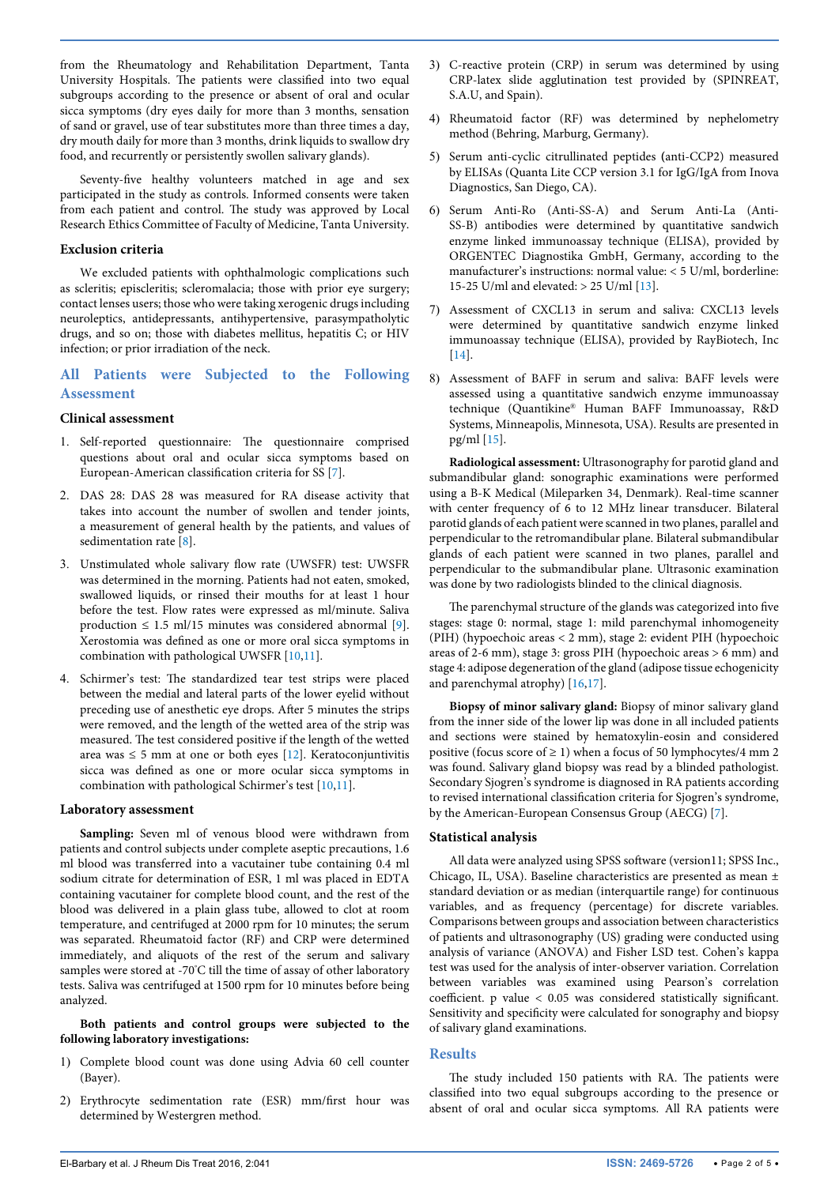from the Rheumatology and Rehabilitation Department, Tanta University Hospitals. The patients were classified into two equal subgroups according to the presence or absent of oral and ocular sicca symptoms (dry eyes daily for more than 3 months, sensation of sand or gravel, use of tear substitutes more than three times a day, dry mouth daily for more than 3 months, drink liquids to swallow dry food, and recurrently or persistently swollen salivary glands).

Seventy-five healthy volunteers matched in age and sex participated in the study as controls. Informed consents were taken from each patient and control. The study was approved by Local Research Ethics Committee of Faculty of Medicine, Tanta University.

## **Exclusion criteria**

We excluded patients with ophthalmologic complications such as scleritis; episcleritis; scleromalacia; those with prior eye surgery; contact lenses users; those who were taking xerogenic drugs including neuroleptics, antidepressants, antihypertensive, parasympatholytic drugs, and so on; those with diabetes mellitus, hepatitis C; or HIV infection; or prior irradiation of the neck.

## **All Patients were Subjected to the Following Assessment**

## **Clinical assessment**

- 1. Self-reported questionnaire: The questionnaire comprised questions about oral and ocular sicca symptoms based on European-American classification criteria for SS [[7\]](#page-4-11).
- 2. DAS 28: DAS 28 was measured for RA disease activity that takes into account the number of swollen and tender joints, a measurement of general health by the patients, and values of sedimentation rate [[8\]](#page-4-12).
- 3. Unstimulated whole salivary flow rate (UWSFR) test: UWSFR was determined in the morning. Patients had not eaten, smoked, swallowed liquids, or rinsed their mouths for at least 1 hour before the test. Flow rates were expressed as ml/minute. Saliva production  $\leq 1.5$  ml/15 minutes was considered abnormal [\[9](#page-4-13)]. Xerostomia was defined as one or more oral sicca symptoms in combination with pathological UWSFR [[10](#page-4-14)[,11](#page-4-15)].
- 4. Schirmer's test: The standardized tear test strips were placed between the medial and lateral parts of the lower eyelid without preceding use of anesthetic eye drops. After 5 minutes the strips were removed, and the length of the wetted area of the strip was measured. The test considered positive if the length of the wetted area was  $\leq$  5 mm at one or both eyes [[12](#page-4-16)]. Keratoconjuntivitis sicca was defined as one or more ocular sicca symptoms in combination with pathological Schirmer's test [[10](#page-4-14),[11](#page-4-15)].

#### **Laboratory assessment**

**Sampling:** Seven ml of venous blood were withdrawn from patients and control subjects under complete aseptic precautions, 1.6 ml blood was transferred into a vacutainer tube containing 0.4 ml sodium citrate for determination of ESR, 1 ml was placed in EDTA containing vacutainer for complete blood count, and the rest of the blood was delivered in a plain glass tube, allowed to clot at room temperature, and centrifuged at 2000 rpm for 10 minutes; the serum was separated. Rheumatoid factor (RF) and CRP were determined immediately, and aliquots of the rest of the serum and salivary samples were stored at -70° C till the time of assay of other laboratory tests. Saliva was centrifuged at 1500 rpm for 10 minutes before being analyzed.

## **Both patients and control groups were subjected to the following laboratory investigations:**

- 1) Complete blood count was done using Advia 60 cell counter (Bayer).
- 2) Erythrocyte sedimentation rate (ESR) mm/first hour was determined by Westergren method.
- 3) C-reactive protein (CRP) in serum was determined by using CRP-latex slide agglutination test provided by (SPINREAT, S.A.U, and Spain).
- 4) Rheumatoid factor (RF) was determined by nephelometry method (Behring, Marburg, Germany).
- 5) Serum anti-cyclic citrullinated peptides **(**anti-CCP2) measured by ELISAs (Quanta Lite CCP version 3.1 for IgG/IgA from Inova Diagnostics, San Diego, CA).
- 6) Serum Anti-Ro (Anti-SS-A) and Serum Anti-La (Anti-SS-B) antibodies were determined by quantitative sandwich enzyme linked immunoassay technique (ELISA), provided by ORGENTEC Diagnostika GmbH, Germany, according to the manufacturer's instructions: normal value: < 5 U/ml, borderline: 15-25 U/ml and elevated: > 25 U/ml [[13\]](#page-4-6).
- 7) Assessment of CXCL13 in serum and saliva: CXCL13 levels were determined by quantitative sandwich enzyme linked immunoassay technique (ELISA), provided by RayBiotech, Inc [\[14\]](#page-4-7).
- 8) Assessment of BAFF in serum and saliva: BAFF levels were assessed using a quantitative sandwich enzyme immunoassay technique (Quantikine® Human BAFF Immunoassay, R&D Systems, Minneapolis, Minnesota, USA). Results are presented in pg/ml [[15](#page-4-8)].

**Radiological assessment:** Ultrasonography for parotid gland and submandibular gland: sonographic examinations were performed using a B-K Medical (Mileparken 34, Denmark). Real-time scanner with center frequency of 6 to 12 MHz linear transducer. Bilateral parotid glands of each patient were scanned in two planes, parallel and perpendicular to the retromandibular plane. Bilateral submandibular glands of each patient were scanned in two planes, parallel and perpendicular to the submandibular plane. Ultrasonic examination was done by two radiologists blinded to the clinical diagnosis.

The parenchymal structure of the glands was categorized into five stages: stage 0: normal, stage 1: mild parenchymal inhomogeneity (PIH) (hypoechoic areas < 2 mm), stage 2: evident PIH (hypoechoic areas of 2-6 mm), stage 3: gross PIH (hypoechoic areas > 6 mm) and stage 4: adipose degeneration of the gland (adipose tissue echogenicity and parenchymal atrophy) [\[16,](#page-4-9)[17](#page-4-10)].

**Biopsy of minor salivary gland:** Biopsy of minor salivary gland from the inner side of the lower lip was done in all included patients and sections were stained by hematoxylin-eosin and considered positive (focus score of  $\geq$  1) when a focus of 50 lymphocytes/4 mm 2 was found. Salivary gland biopsy was read by a blinded pathologist. Secondary Sjogren's syndrome is diagnosed in RA patients according to revised international classification criteria for Sjogren's syndrome, by the American-European Consensus Group (AECG) [\[7\]](#page-4-11).

## **Statistical analysis**

All data were analyzed using SPSS software (version11; SPSS Inc., Chicago, IL, USA). Baseline characteristics are presented as mean ± standard deviation or as median (interquartile range) for continuous variables, and as frequency (percentage) for discrete variables. Comparisons between groups and association between characteristics of patients and ultrasonography (US) grading were conducted using analysis of variance (ANOVA) and Fisher LSD test. Cohen's kappa test was used for the analysis of inter-observer variation. Correlation between variables was examined using Pearson's correlation coefficient. p value < 0.05 was considered statistically significant. Sensitivity and specificity were calculated for sonography and biopsy of salivary gland examinations.

#### **Results**

The study included 150 patients with RA. The patients were classified into two equal subgroups according to the presence or absent of oral and ocular sicca symptoms. All RA patients were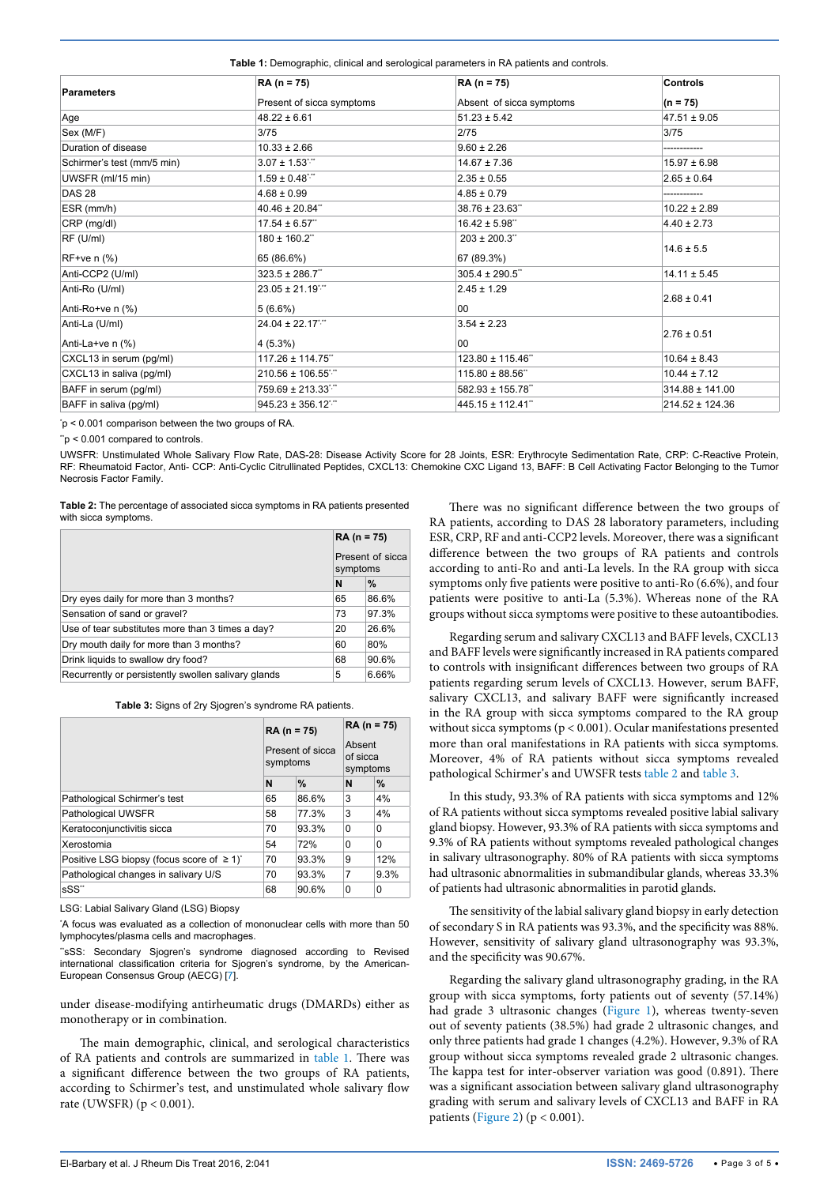<span id="page-2-2"></span>**Table 1:** Demographic, clinical and serological parameters in RA patients and controls.

|                            | RA (n = 75)               | $RA (n = 75)$            | Controls<br>$(n = 75)$ |  |
|----------------------------|---------------------------|--------------------------|------------------------|--|
| <b>Parameters</b>          | Present of sicca symptoms | Absent of sicca symptoms |                        |  |
| Age                        | $48.22 \pm 6.61$          | $51.23 \pm 5.42$         | $47.51 \pm 9.05$       |  |
| Sex (M/F)                  | 3/75                      | 2/75                     | 3/75                   |  |
| Duration of disease        | $10.33 \pm 2.66$          | $9.60 \pm 2.26$          |                        |  |
| Schirmer's test (mm/5 min) | $3.07 \pm 1.53$           | $14.67 \pm 7.36$         | $15.97 \pm 6.98$       |  |
| UWSFR (ml/15 min)          | $1.59 \pm 0.48$           | $2.35 \pm 0.55$          | $2.65 \pm 0.64$        |  |
| <b>DAS 28</b>              | $4.68 \pm 0.99$           | $4.85 \pm 0.79$          |                        |  |
| ESR (mm/h)                 | $40.46 \pm 20.84$ "       | $38.76 \pm 23.63$ "      | $10.22 \pm 2.89$       |  |
| CRP (mg/dl)                | $17.54 \pm 6.57$ "        | $16.42 \pm 5.98$ "       | $4.40 \pm 2.73$        |  |
| RF (U/ml)                  | 180 ± 160.2"              | $203 \pm 200.3$ "        |                        |  |
| $RF+ve$ n $(\%)$           | 65 (86.6%)                | 67 (89.3%)               | $14.6 \pm 5.5$         |  |
| Anti-CCP2 (U/ml)           | $323.5 \pm 286.7$         | $305.4 \pm 290.5$ "      | $14.11 \pm 5.45$       |  |
| Anti-Ro (U/ml)             | $23.05 \pm 21.19$ ;"      | $2.45 \pm 1.29$          | $2.68 \pm 0.41$        |  |
| Anti-Ro+ve $n$ $%$ )       | $5(6.6\%)$                | 00                       |                        |  |
| Anti-La (U/ml)             | $24.04 \pm 22.17$ ;"      | $3.54 \pm 2.23$          | $2.76 \pm 0.51$        |  |
| Anti-La+ve $n$ (%)         | $4(5.3\%)$                | 00                       |                        |  |
| CXCL13 in serum (pg/ml)    | 117.26 ± 114.75"          | 123.80 ± 115.46"         | $10.64 \pm 8.43$       |  |
| CXCL13 in saliva (pg/ml)   | $210.56 \pm 106.55$       | $115.80 \pm 88.56$ "     | $10.44 \pm 7.12$       |  |
| BAFF in serum (pg/ml)      | 759.69 ± 213.33**         | 582.93 ± 155.78"         | $314.88 \pm 141.00$    |  |
| BAFF in saliva (pg/ml)     | $945.23 \pm 356.12$       | 445.15 ± 112.41"         | 214.52 ± 124.36        |  |

\* p < 0.001 comparison between the two groups of RA.

 $*_p$  < 0.001 compared to controls.

UWSFR: Unstimulated Whole Salivary Flow Rate, DAS-28: Disease Activity Score for 28 Joints, ESR: Erythrocyte Sedimentation Rate, CRP: C-Reactive Protein, RF: Rheumatoid Factor, Anti- CCP: Anti-Cyclic Citrullinated Peptides, CXCL13: Chemokine CXC Ligand 13, BAFF: B Cell Activating Factor Belonging to the Tumor Necrosis Factor Family.

<span id="page-2-0"></span>**Table 2:** The percentage of associated sicca symptoms in RA patients presented with sicca symptoms.

|                                                     | $RA (n = 75)$<br>Present of sicca<br>symptoms |       |
|-----------------------------------------------------|-----------------------------------------------|-------|
|                                                     |                                               |       |
|                                                     | N                                             | $\%$  |
| Dry eyes daily for more than 3 months?              | 65                                            | 86.6% |
| Sensation of sand or gravel?                        |                                               | 97.3% |
| Use of tear substitutes more than 3 times a day?    |                                               | 26.6% |
| Dry mouth daily for more than 3 months?             |                                               | 80%   |
| Drink liquids to swallow dry food?                  |                                               | 90.6% |
| Recurrently or persistently swollen salivary glands |                                               | 6.66% |

<span id="page-2-1"></span>**Table 3:** Signs of 2ry Sjogren's syndrome RA patients.

|                                                             | $RA (n = 75)$<br>Present of sicca<br>symptoms |       | $RA (n = 75)$<br>Absent<br>of sicca<br>symptoms |          |
|-------------------------------------------------------------|-----------------------------------------------|-------|-------------------------------------------------|----------|
|                                                             |                                               |       |                                                 |          |
|                                                             | N                                             | %     | N                                               | %        |
| Pathological Schirmer's test                                | 65                                            | 86.6% | 3                                               | 4%       |
| Pathological UWSFR                                          | 58                                            | 77.3% | 3                                               | 4%       |
| Keratoconjunctivitis sicca                                  | 70                                            | 93.3% | $\Omega$                                        | 0        |
| Xerostomia                                                  | 54                                            | 72%   | $\Omega$                                        | $\Omega$ |
| Positive LSG biopsy (focus score of $\geq 1$ ) <sup>*</sup> | 70                                            | 93.3% | 9                                               | 12%      |
| Pathological changes in salivary U/S                        | 70                                            | 93.3% | 7                                               | 9.3%     |
| sSS"                                                        | 68                                            | 90.6% | 0                                               | 0        |

LSG: Labial Salivary Gland (LSG) Biopsy

\* A focus was evaluated as a collection of mononuclear cells with more than 50 lymphocytes/plasma cells and macrophages.

"sSS: Secondary Sjogren's syndrome diagnosed according to Revised international classification criteria for Sjogren's syndrome, by the American-European Consensus Group (AECG) [[7](#page-4-11)].

under disease-modifying antirheumatic drugs (DMARDs) either as monotherapy or in combination.

The main demographic, clinical, and serological characteristics of RA patients and controls are summarized in [table 1.](#page-2-2) There was a significant difference between the two groups of RA patients, according to Schirmer's test, and unstimulated whole salivary flow rate (UWSFR) (p < 0.001).

There was no significant difference between the two groups of RA patients, according to DAS 28 laboratory parameters, including ESR, CRP, RF and anti-CCP2 levels. Moreover, there was a significant difference between the two groups of RA patients and controls according to anti-Ro and anti-La levels. In the RA group with sicca symptoms only five patients were positive to anti-Ro (6.6%), and four patients were positive to anti-La (5.3%). Whereas none of the RA groups without sicca symptoms were positive to these autoantibodies.

Regarding serum and salivary CXCL13 and BAFF levels, CXCL13 and BAFF levels were significantly increased in RA patients compared to controls with insignificant differences between two groups of RA patients regarding serum levels of CXCL13. However, serum BAFF, salivary CXCL13, and salivary BAFF were significantly increased in the RA group with sicca symptoms compared to the RA group without sicca symptoms (p < 0.001). Ocular manifestations presented more than oral manifestations in RA patients with sicca symptoms. Moreover, 4% of RA patients without sicca symptoms revealed pathological Schirmer's and UWSFR tests [table 2](#page-2-0) and [table 3](#page-2-1).

In this study, 93.3% of RA patients with sicca symptoms and 12% of RA patients without sicca symptoms revealed positive labial salivary gland biopsy. However, 93.3% of RA patients with sicca symptoms and 9.3% of RA patients without symptoms revealed pathological changes in salivary ultrasonography. 80% of RA patients with sicca symptoms had ultrasonic abnormalities in submandibular glands, whereas 33.3% of patients had ultrasonic abnormalities in parotid glands.

The sensitivity of the labial salivary gland biopsy in early detection of secondary S in RA patients was 93.3%, and the specificity was 88%. However, sensitivity of salivary gland ultrasonography was 93.3%, and the specificity was 90.67%.

Regarding the salivary gland ultrasonography grading, in the RA group with sicca symptoms, forty patients out of seventy (57.14%) had grade 3 ultrasonic changes ([Figure 1\)](#page-3-0), whereas twenty-seven out of seventy patients (38.5%) had grade 2 ultrasonic changes, and only three patients had grade 1 changes (4.2%). However, 9.3% of RA group without sicca symptoms revealed grade 2 ultrasonic changes. The kappa test for inter-observer variation was good (0.891). There was a significant association between salivary gland ultrasonography grading with serum and salivary levels of CXCL13 and BAFF in RA patients ([Figure 2](#page-3-1)) ( $p < 0.001$ ).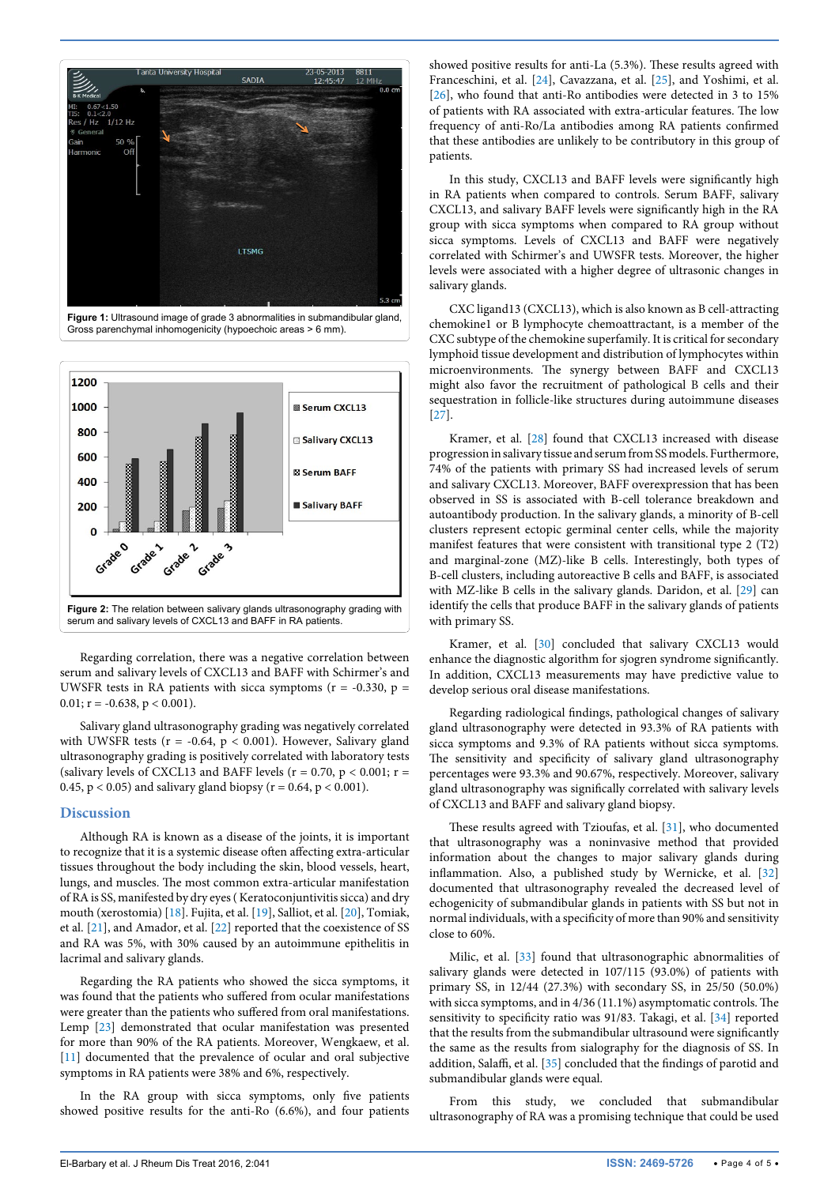<span id="page-3-0"></span>

**Figure 1:** Ultrasound image of grade 3 abnormalities in submandibular gland, Gross parenchymal inhomogenicity (hypoechoic areas > 6 mm).

<span id="page-3-1"></span>

Regarding correlation, there was a negative correlation between serum and salivary levels of CXCL13 and BAFF with Schirmer's and UWSFR tests in RA patients with sicca symptoms ( $r = -0.330$ ,  $p =$  $0.01$ ; r = -0.638, p < 0.001).

Salivary gland ultrasonography grading was negatively correlated with UWSFR tests ( $r = -0.64$ ,  $p < 0.001$ ). However, Salivary gland ultrasonography grading is positively correlated with laboratory tests (salivary levels of CXCL13 and BAFF levels ( $r = 0.70$ ,  $p < 0.001$ ;  $r =$ 0.45,  $p < 0.05$ ) and salivary gland biopsy ( $r = 0.64$ ,  $p < 0.001$ ).

#### **Discussion**

Although RA is known as a disease of the joints, it is important to recognize that it is a systemic disease often affecting extra-articular tissues throughout the body including the skin, blood vessels, heart, lungs, and muscles. The most common extra-articular manifestation of RA is SS, manifested by dry eyes ( Keratoconjuntivitis sicca) and dry mouth (xerostomia) [[18\]](#page-4-29). Fujita, et al. [[19](#page-4-30)], Salliot, et al. [[20](#page-4-31)], Tomiak, et al. [[21](#page-4-32)], and Amador, et al. [[22](#page-4-33)] reported that the coexistence of SS and RA was 5%, with 30% caused by an autoimmune epithelitis in lacrimal and salivary glands.

Regarding the RA patients who showed the sicca symptoms, it was found that the patients who suffered from ocular manifestations were greater than the patients who suffered from oral manifestations. Lemp [\[23\]](#page-4-34) demonstrated that ocular manifestation was presented for more than 90% of the RA patients. Moreover, Wengkaew, et al. [[11](#page-4-15)] documented that the prevalence of ocular and oral subjective symptoms in RA patients were 38% and 6%, respectively.

In the RA group with sicca symptoms, only five patients showed positive results for the anti-Ro (6.6%), and four patients

showed positive results for anti-La (5.3%). These results agreed with Franceschini, et al. [\[24](#page-4-17)], Cavazzana, et al. [\[25\]](#page-4-18), and Yoshimi, et al. [[26](#page-4-19)], who found that anti-Ro antibodies were detected in 3 to 15% of patients with RA associated with extra-articular features. The low frequency of anti-Ro/La antibodies among RA patients confirmed that these antibodies are unlikely to be contributory in this group of patients.

In this study, CXCL13 and BAFF levels were significantly high in RA patients when compared to controls. Serum BAFF, salivary CXCL13, and salivary BAFF levels were significantly high in the RA group with sicca symptoms when compared to RA group without sicca symptoms. Levels of CXCL13 and BAFF were negatively correlated with Schirmer's and UWSFR tests. Moreover, the higher levels were associated with a higher degree of ultrasonic changes in salivary glands.

CXC ligand13 (CXCL13), which is also known as B cell-attracting chemokine1 or B lymphocyte chemoattractant, is a member of the CXC subtype of the chemokine superfamily. It is critical for secondary lymphoid tissue development and distribution of lymphocytes within microenvironments. The synergy between BAFF and CXCL13 might also favor the recruitment of pathological B cells and their sequestration in follicle-like structures during autoimmune diseases [[27](#page-4-20)].

Kramer, et al. [\[28\]](#page-4-21) found that CXCL13 increased with disease progression in salivary tissue and serum from SS models. Furthermore, 74% of the patients with primary SS had increased levels of serum and salivary CXCL13. Moreover, BAFF overexpression that has been observed in SS is associated with B-cell tolerance breakdown and autoantibody production. In the salivary glands, a minority of B-cell clusters represent ectopic germinal center cells, while the majority manifest features that were consistent with transitional type 2 (T2) and marginal-zone (MZ)-like B cells. Interestingly, both types of B-cell clusters, including autoreactive B cells and BAFF, is associated with MZ-like B cells in the salivary glands. Daridon, et al. [\[29](#page-4-22)] can identify the cells that produce BAFF in the salivary glands of patients with primary SS.

Kramer, et al. [\[30\]](#page-4-23) concluded that salivary CXCL13 would enhance the diagnostic algorithm for sjogren syndrome significantly. In addition, CXCL13 measurements may have predictive value to develop serious oral disease manifestations.

Regarding radiological findings, pathological changes of salivary gland ultrasonography were detected in 93.3% of RA patients with sicca symptoms and 9.3% of RA patients without sicca symptoms. The sensitivity and specificity of salivary gland ultrasonography percentages were 93.3% and 90.67%, respectively. Moreover, salivary gland ultrasonography was significally correlated with salivary levels of CXCL13 and BAFF and salivary gland biopsy.

These results agreed with Tzioufas, et al. [[31](#page-4-24)], who documented that ultrasonography was a noninvasive method that provided information about the changes to major salivary glands during inflammation. Also, a published study by Wernicke, et al. [[32\]](#page-4-25) documented that ultrasonography revealed the decreased level of echogenicity of submandibular glands in patients with SS but not in normal individuals, with a specificity of more than 90% and sensitivity close to 60%.

Milic, et al. [[33](#page-4-26)] found that ultrasonographic abnormalities of salivary glands were detected in 107/115 (93.0%) of patients with primary SS, in 12/44 (27.3%) with secondary SS, in 25/50 (50.0%) with sicca symptoms, and in 4/36 (11.1%) asymptomatic controls. The sensitivity to specificity ratio was 91/83. Takagi, et al. [\[34\]](#page-4-27) reported that the results from the submandibular ultrasound were significantly the same as the results from sialography for the diagnosis of SS. In addition, Salaffi, et al. [\[35\]](#page-4-28) concluded that the findings of parotid and submandibular glands were equal.

From this study, we concluded that submandibular ultrasonography of RA was a promising technique that could be used